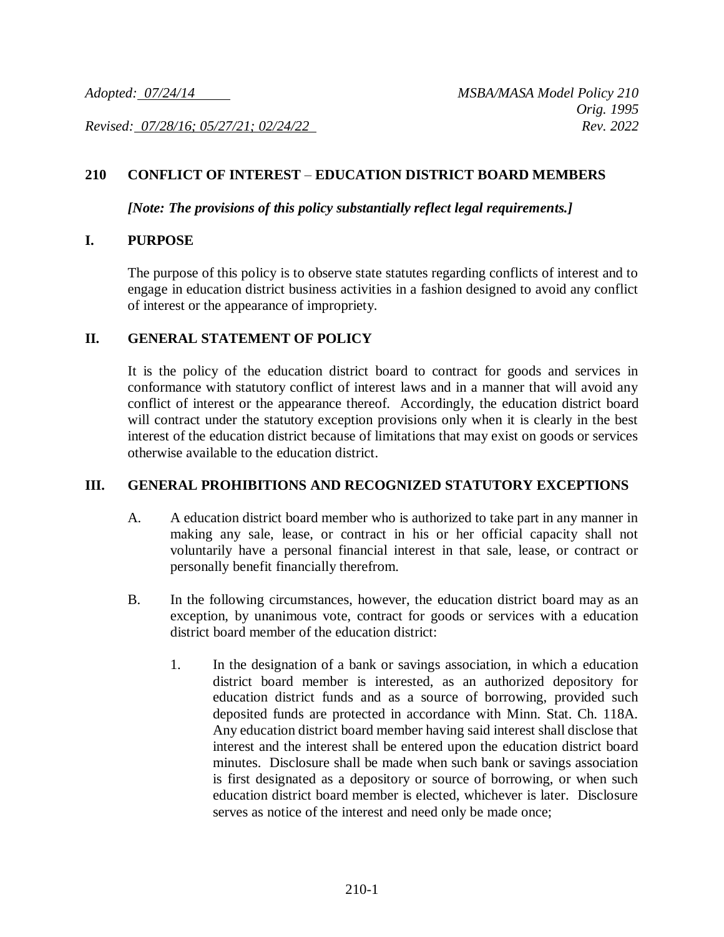*Revised: 07/28/16; 05/27/21; 02/24/22 Rev. 2022*

### **210 CONFLICT OF INTEREST** – **EDUCATION DISTRICT BOARD MEMBERS**

*[Note: The provisions of this policy substantially reflect legal requirements.]*

#### **I. PURPOSE**

The purpose of this policy is to observe state statutes regarding conflicts of interest and to engage in education district business activities in a fashion designed to avoid any conflict of interest or the appearance of impropriety.

#### **II. GENERAL STATEMENT OF POLICY**

It is the policy of the education district board to contract for goods and services in conformance with statutory conflict of interest laws and in a manner that will avoid any conflict of interest or the appearance thereof. Accordingly, the education district board will contract under the statutory exception provisions only when it is clearly in the best interest of the education district because of limitations that may exist on goods or services otherwise available to the education district.

### **III. GENERAL PROHIBITIONS AND RECOGNIZED STATUTORY EXCEPTIONS**

- A. A education district board member who is authorized to take part in any manner in making any sale, lease, or contract in his or her official capacity shall not voluntarily have a personal financial interest in that sale, lease, or contract or personally benefit financially therefrom.
- B. In the following circumstances, however, the education district board may as an exception, by unanimous vote, contract for goods or services with a education district board member of the education district:
	- 1. In the designation of a bank or savings association, in which a education district board member is interested, as an authorized depository for education district funds and as a source of borrowing, provided such deposited funds are protected in accordance with Minn. Stat. Ch. 118A. Any education district board member having said interest shall disclose that interest and the interest shall be entered upon the education district board minutes. Disclosure shall be made when such bank or savings association is first designated as a depository or source of borrowing, or when such education district board member is elected, whichever is later. Disclosure serves as notice of the interest and need only be made once;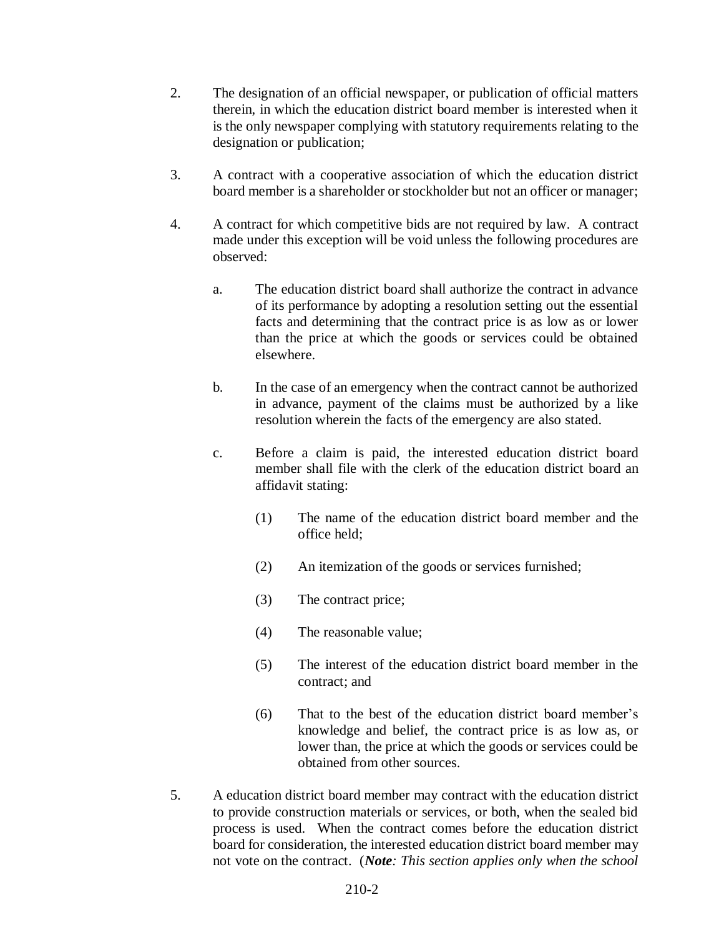- 2. The designation of an official newspaper, or publication of official matters therein, in which the education district board member is interested when it is the only newspaper complying with statutory requirements relating to the designation or publication;
- 3. A contract with a cooperative association of which the education district board member is a shareholder or stockholder but not an officer or manager;
- 4. A contract for which competitive bids are not required by law. A contract made under this exception will be void unless the following procedures are observed:
	- a. The education district board shall authorize the contract in advance of its performance by adopting a resolution setting out the essential facts and determining that the contract price is as low as or lower than the price at which the goods or services could be obtained elsewhere.
	- b. In the case of an emergency when the contract cannot be authorized in advance, payment of the claims must be authorized by a like resolution wherein the facts of the emergency are also stated.
	- c. Before a claim is paid, the interested education district board member shall file with the clerk of the education district board an affidavit stating:
		- (1) The name of the education district board member and the office held;
		- (2) An itemization of the goods or services furnished;
		- (3) The contract price;
		- (4) The reasonable value;
		- (5) The interest of the education district board member in the contract; and
		- (6) That to the best of the education district board member's knowledge and belief, the contract price is as low as, or lower than, the price at which the goods or services could be obtained from other sources.
- 5. A education district board member may contract with the education district to provide construction materials or services, or both, when the sealed bid process is used. When the contract comes before the education district board for consideration, the interested education district board member may not vote on the contract. (*Note: This section applies only when the school*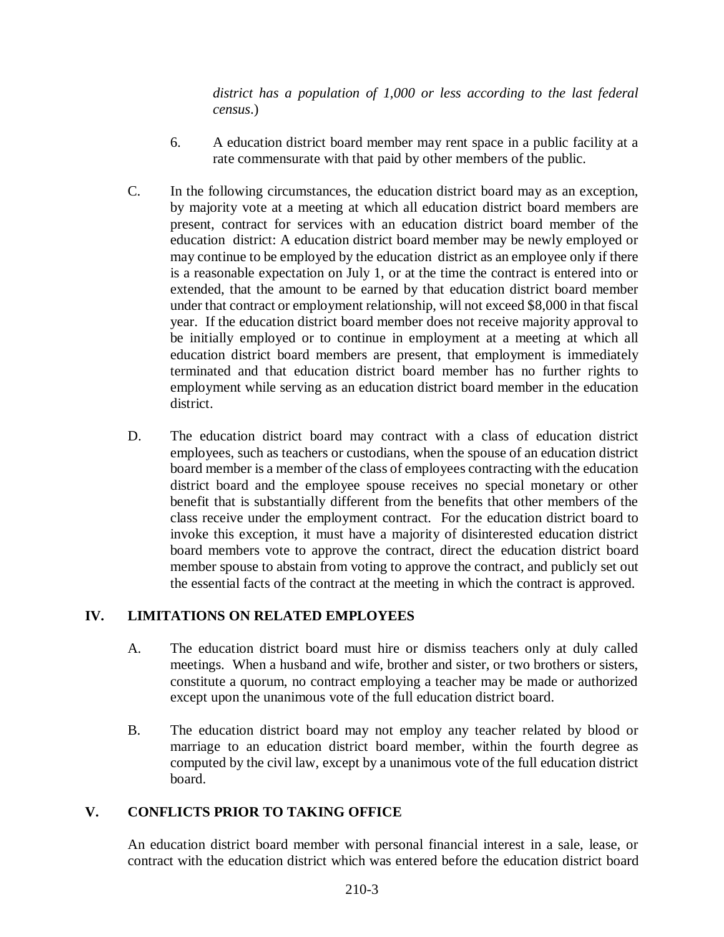*district has a population of 1,000 or less according to the last federal census*.)

- 6. A education district board member may rent space in a public facility at a rate commensurate with that paid by other members of the public.
- C. In the following circumstances, the education district board may as an exception, by majority vote at a meeting at which all education district board members are present, contract for services with an education district board member of the education district: A education district board member may be newly employed or may continue to be employed by the education district as an employee only if there is a reasonable expectation on July 1, or at the time the contract is entered into or extended, that the amount to be earned by that education district board member under that contract or employment relationship, will not exceed \$8,000 in that fiscal year. If the education district board member does not receive majority approval to be initially employed or to continue in employment at a meeting at which all education district board members are present, that employment is immediately terminated and that education district board member has no further rights to employment while serving as an education district board member in the education district.
- D. The education district board may contract with a class of education district employees, such as teachers or custodians, when the spouse of an education district board member is a member of the class of employees contracting with the education district board and the employee spouse receives no special monetary or other benefit that is substantially different from the benefits that other members of the class receive under the employment contract. For the education district board to invoke this exception, it must have a majority of disinterested education district board members vote to approve the contract, direct the education district board member spouse to abstain from voting to approve the contract, and publicly set out the essential facts of the contract at the meeting in which the contract is approved.

# **IV. LIMITATIONS ON RELATED EMPLOYEES**

- A. The education district board must hire or dismiss teachers only at duly called meetings. When a husband and wife, brother and sister, or two brothers or sisters, constitute a quorum, no contract employing a teacher may be made or authorized except upon the unanimous vote of the full education district board.
- B. The education district board may not employ any teacher related by blood or marriage to an education district board member, within the fourth degree as computed by the civil law, except by a unanimous vote of the full education district board.

# **V. CONFLICTS PRIOR TO TAKING OFFICE**

An education district board member with personal financial interest in a sale, lease, or contract with the education district which was entered before the education district board